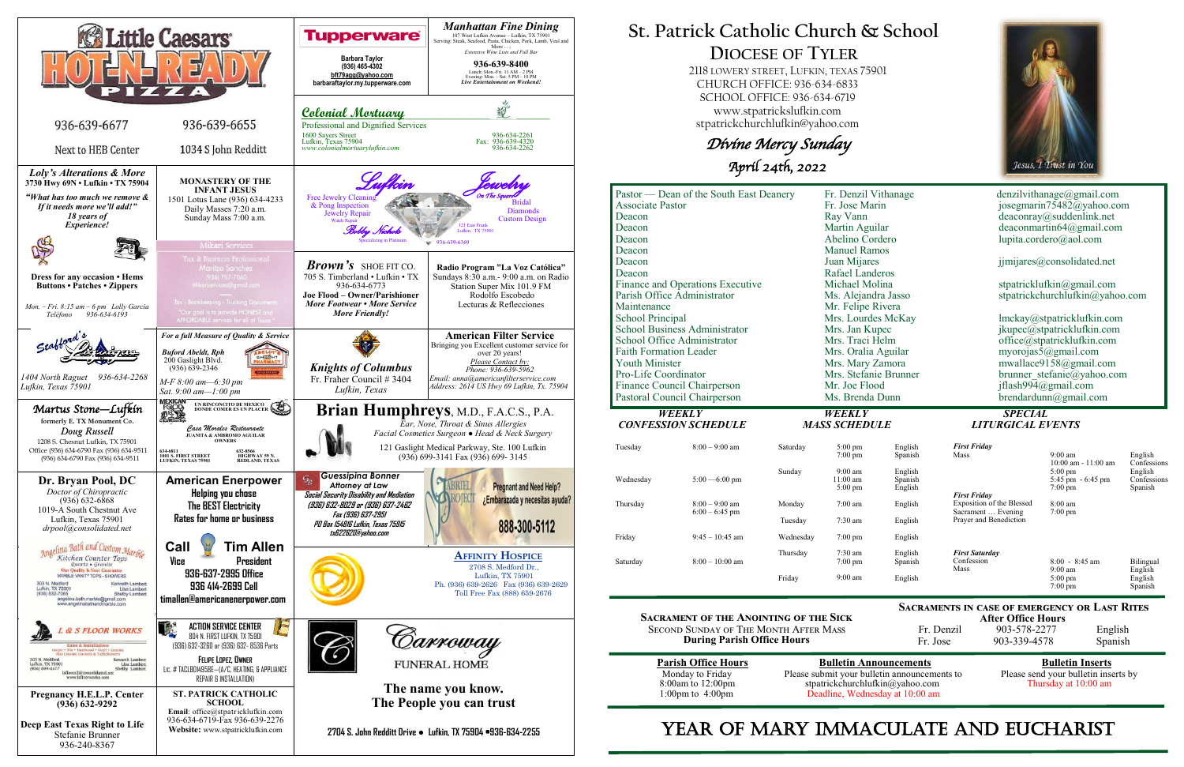

**After Office Hours**<br>Fr. Denzil 903-578-2277 903-578-2277 English Fr. Jose 903-339-4578 Spanish

# **St. Patrick Catholic Church & School DIOCESE OF TYLER**

 2118 LOWERY STREET, LUFKIN, TEXAS 75901 CHURCH OFFICE: 936-634-6833 SCHOOL OFFICE: 936-634-6719 www.stpatrickslufkin.com stpatrickchurchlufkin@yahoo.com

Divine Mercy Sunday April 24th, 2022

| Pastor — Dean of the South East Deanery     | Fr. Denzil Vithanage                  | denzilvithanage@gmail.com                  |
|---------------------------------------------|---------------------------------------|--------------------------------------------|
| <b>Associate Pastor</b>                     | Fr. Jose Marin                        | josegmarin75482@yahoo.com                  |
| Deacon                                      | Ray Vann                              | deaconray@suddenlink.net                   |
| Deacon                                      | Martin Aguilar                        | deaconmartin64@gmail.com                   |
| Deacon                                      | Abelino Cordero                       | lupita.cordero@aol.com                     |
| Deacon                                      | <b>Manuel Ramos</b>                   |                                            |
| Deacon                                      | Juan Mijares                          | jjmijares@consolidated.net                 |
| Deacon                                      | Rafael Landeros                       |                                            |
| Finance and Operations Executive            | Michael Molina                        | stpatricklufkin@gmail.com                  |
| Parish Office Administrator                 | Ms. Alejandra Jasso                   | stpatrickchurchlufkin@yahoo.com            |
| Maintenance                                 | Mr. Felipe Rivera                     |                                            |
| <b>School Principal</b>                     | Mrs. Lourdes McKay                    | lmckay@stpatricklufkin.com                 |
| <b>School Business Administrator</b>        | Mrs. Jan Kupec                        | jkupec@stpatricklufkin.com                 |
| School Office Administrator                 | Mrs. Traci Helm                       | office@stpatricklufkin.com                 |
| <b>Faith Formation Leader</b>               | Mrs. Oralia Aguilar                   | myorojas5@gmail.com                        |
| <b>Youth Minister</b>                       | Mrs. Mary Zamora                      | mwallace9158@gmail.com                     |
| Pro-Life Coordinator                        | Mrs. Stefanie Brunner                 | brunner stefanie@yahoo.com                 |
| Finance Council Chairperson                 | Mr. Joe Flood                         | jflash994@gmail.com                        |
| Pastoral Council Chairperson                | Ms. Brenda Dunn                       | brendardunn@gmail.com                      |
| <b>WEEKLY</b><br><b>CONFESSION SCHEDULE</b> | <b>WEEKLY</b><br><b>MASS SCHEDULE</b> | <b>SPECIAL</b><br><b>LITURGICAL EVENTS</b> |

**Sacrament of the Anointing of the Sick** Second Sunday of The Month After Mass **During Parish Office Hours** 

| <b>Parish Office Hours</b> |
|----------------------------|
| Monday to Friday           |
| $8:00$ am to $12:00$ pm    |
| 1:00pm to $4:00$ pm        |

**Parish Bulletin Announcements**<br> **Please send your bulletin inserts** by<br> **Please send your bulletin inserts** by Please submit your bulletin announcements to stpatrickchurchlufkin@yahoo.com Thursday at 10:00 am Deadline, Wednesday at 10:00 am

# YEAR OF MARY IMMACULATE AND EUCHARIST



**Sacraments in case of emergency or Last Rites** 

| Tuesday   | $8:00-9:00$ am                       | Saturday  | $5:00 \text{ pm}$<br>$7:00 \text{ pm}$               |
|-----------|--------------------------------------|-----------|------------------------------------------------------|
| Wednesday | $5:00 - 6:00$ pm                     | Sunday    | $9:00 \text{ am}$<br>$11:00 \text{ am}$<br>$5:00$ pm |
| Thursday  | $8:00 - 9:00$ am<br>$6:00 - 6:45$ pm | Monday    | $7:00$ am                                            |
|           |                                      | Tuesday   | $7:30$ am                                            |
| Friday    | $9:45 - 10:45$ am                    | Wednesday | $7:00 \text{ pm}$                                    |
| Saturday  | $8:00-10:00$ am                      | Thursday  | $7:30 \text{ am}$<br>$7:00 \text{ pm}$               |
|           |                                      | Friday    | $9:00 \text{ am}$                                    |

| English<br>Spanish<br>English<br>Spanish<br>English | <b>First Friday</b><br>Mass<br><b>First Friday</b>                        | $9:00 \text{ am}$<br>$10:00$ am $-11:00$ am<br>$5:00 \text{ pm}$<br>$5:45$ pm $-6:45$ pm<br>$7:00 \text{ pm}$ | English<br>Confessions<br>English<br>Confessions<br>Spanish |
|-----------------------------------------------------|---------------------------------------------------------------------------|---------------------------------------------------------------------------------------------------------------|-------------------------------------------------------------|
| English<br>English                                  | Exposition of the Blessed<br>Sacrament  Evening<br>Prayer and Benediction | $8:00 \text{ am}$<br>$7:00 \text{ pm}$                                                                        |                                                             |
| English                                             |                                                                           |                                                                                                               |                                                             |
| English<br>Spanish                                  | <b>First Saturday</b><br>Confession<br>Mass                               | $8:00 - 8:45$ am<br>$9:00 \text{ am}$                                                                         | Bilingual<br>English                                        |
| English                                             |                                                                           | $5:00 \text{ pm}$<br>$7:00 \text{ pm}$                                                                        | English<br>Spanish                                          |